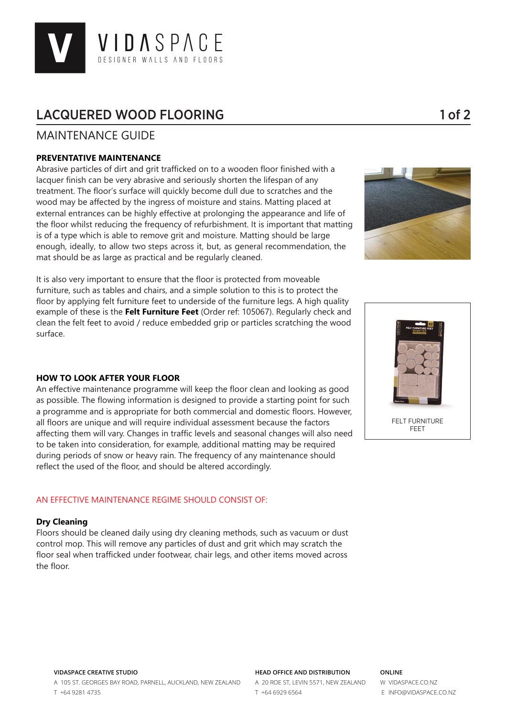

# LACQUERED WOOD FLOORING 1 and 1 of 2

# MAINTENANCE GUIDE

# **PREVENTATIVE MAINTENANCE**

Abrasive particles of dirt and grit trafficked on to a wooden floor finished with a lacquer finish can be very abrasive and seriously shorten the lifespan of any treatment. The floor's surface will quickly become dull due to scratches and the wood may be affected by the ingress of moisture and stains. Matting placed at external entrances can be highly effective at prolonging the appearance and life of the floor whilst reducing the frequency of refurbishment. It is important that matting is of a type which is able to remove grit and moisture. Matting should be large enough, ideally, to allow two steps across it, but, as general recommendation, the mat should be as large as practical and be regularly cleaned.



It is also very important to ensure that the floor is protected from moveable furniture, such as tables and chairs, and a simple solution to this is to protect the floor by applying felt furniture feet to underside of the furniture legs. A high quality example of these is the **Felt Furniture Feet** (Order ref: 105067). Regularly check and clean the felt feet to avoid / reduce embedded grip or particles scratching the wood surface.

### **HOW TO LOOK AFTER YOUR FLOOR**

An effective maintenance programme will keep the floor clean and looking as good as possible. The flowing information is designed to provide a starting point for such a programme and is appropriate for both commercial and domestic floors. However, all floors are unique and will require individual assessment because the factors affecting them will vary. Changes in traffic levels and seasonal changes will also need to be taken into consideration, for example, additional matting may be required during periods of snow or heavy rain. The frequency of any maintenance should reflect the used of the floor, and should be altered accordingly.

# AN EFFECTIVE MAINTENANCE REGIME SHOULD CONSIST OF:

### **Dry Cleaning**

Floors should be cleaned daily using dry cleaning methods, such as vacuum or dust control mop. This will remove any particles of dust and grit which may scratch the floor seal when trafficked under footwear, chair legs, and other items moved across the floor.





### **VIDASPACE CREATIVE STUDIO** A 105 ST. GEORGES BAY ROAD, PARNELL, AUCKLAND, NEW ZEALAND T +64 9281 4735

#### **HEAD OFFICE AND DISTRIBUTION**

A 20 ROE ST, LEVIN 5571, NEW ZEALAND T +64 6929 6564

### **ONLINE**

W VIDASPACE.CO.NZ E INFO@VIDASPACE.CO.NZ